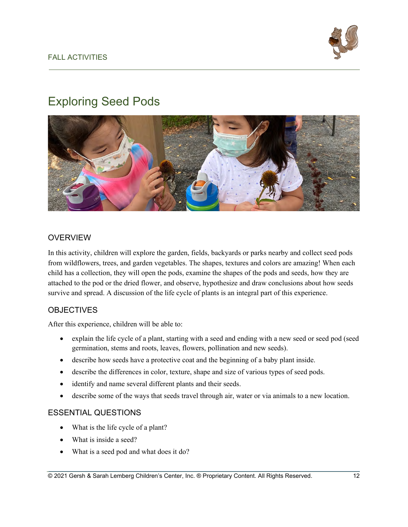# Exploring Seed Pods



# OVERVIEW

In this activity, children will explore the garden, fields, backyards or parks nearby and collect seed pods from wildflowers, trees, and garden vegetables. The shapes, textures and colors are amazing! When each child has a collection, they will open the pods, examine the shapes of the pods and seeds, how they are attached to the pod or the dried flower, and observe, hypothesize and draw conclusions about how seeds survive and spread. A discussion of the life cycle of plants is an integral part of this experience.

# **OBJECTIVES**

After this experience, children will be able to:

- explain the life cycle of a plant, starting with a seed and ending with a new seed or seed pod (seed germination, stems and roots, leaves, flowers, pollination and new seeds).
- describe how seeds have a protective coat and the beginning of a baby plant inside.
- describe the differences in color, texture, shape and size of various types of seed pods.
- identify and name several different plants and their seeds.
- describe some of the ways that seeds travel through air, water or via animals to a new location.

# ESSENTIAL QUESTIONS

- What is the life cycle of a plant?
- What is inside a seed?
- What is a seed pod and what does it do?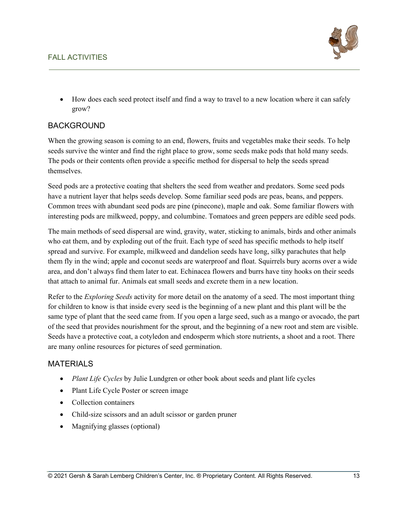# FALL ACTIVITIES



• How does each seed protect itself and find a way to travel to a new location where it can safely grow?

#### **BACKGROUND**

When the growing season is coming to an end, flowers, fruits and vegetables make their seeds. To help seeds survive the winter and find the right place to grow, some seeds make pods that hold many seeds. The pods or their contents often provide a specific method for dispersal to help the seeds spread themselves.

Seed pods are a protective coating that shelters the seed from weather and predators. Some seed pods have a nutrient layer that helps seeds develop. Some familiar seed pods are peas, beans, and peppers. Common trees with abundant seed pods are pine (pinecone), maple and oak. Some familiar flowers with interesting pods are milkweed, poppy, and columbine. Tomatoes and green peppers are edible seed pods.

The main methods of seed dispersal are wind, gravity, water, sticking to animals, birds and other animals who eat them, and by exploding out of the fruit. Each type of seed has specific methods to help itself spread and survive. For example, milkweed and dandelion seeds have long, silky parachutes that help them fly in the wind; apple and coconut seeds are waterproof and float. Squirrels bury acorns over a wide area, and don't always find them later to eat. Echinacea flowers and burrs have tiny hooks on their seeds that attach to animal fur. Animals eat small seeds and excrete them in a new location.

Refer to the *Exploring Seeds* activity for more detail on the anatomy of a seed. The most important thing for children to know is that inside every seed is the beginning of a new plant and this plant will be the same type of plant that the seed came from. If you open a large seed, such as a mango or avocado, the part of the seed that provides nourishment for the sprout, and the beginning of a new root and stem are visible. Seeds have a protective coat, a cotyledon and endosperm which store nutrients, a shoot and a root. There are many online resources for pictures of seed germination.

#### **MATERIALS**

- *Plant Life Cycles* by Julie Lundgren or other book about seeds and plant life cycles
- Plant Life Cycle Poster or screen image
- Collection containers
- Child-size scissors and an adult scissor or garden pruner
- Magnifying glasses (optional)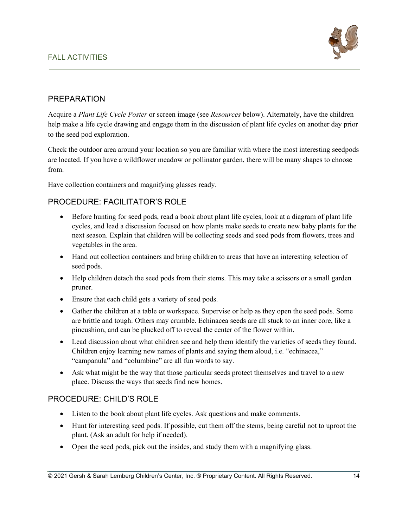

# PREPARATION

Acquire a *Plant Life Cycle Poster* or screen image (see *Resources* below). Alternately, have the children help make a life cycle drawing and engage them in the discussion of plant life cycles on another day prior to the seed pod exploration.

Check the outdoor area around your location so you are familiar with where the most interesting seedpods are located. If you have a wildflower meadow or pollinator garden, there will be many shapes to choose from.

Have collection containers and magnifying glasses ready.

# PROCEDURE: FACILITATOR'S ROLE

- Before hunting for seed pods, read a book about plant life cycles, look at a diagram of plant life cycles, and lead a discussion focused on how plants make seeds to create new baby plants for the next season. Explain that children will be collecting seeds and seed pods from flowers, trees and vegetables in the area.
- Hand out collection containers and bring children to areas that have an interesting selection of seed pods.
- Help children detach the seed pods from their stems. This may take a scissors or a small garden pruner.
- Ensure that each child gets a variety of seed pods.
- Gather the children at a table or workspace. Supervise or help as they open the seed pods. Some are brittle and tough. Others may crumble. Echinacea seeds are all stuck to an inner core, like a pincushion, and can be plucked off to reveal the center of the flower within.
- Lead discussion about what children see and help them identify the varieties of seeds they found. Children enjoy learning new names of plants and saying them aloud, i.e. "echinacea," "campanula" and "columbine" are all fun words to say.
- Ask what might be the way that those particular seeds protect themselves and travel to a new place. Discuss the ways that seeds find new homes.

# PROCEDURE: CHILD'S ROLE

- Listen to the book about plant life cycles. Ask questions and make comments.
- Hunt for interesting seed pods. If possible, cut them off the stems, being careful not to uproot the plant. (Ask an adult for help if needed).
- Open the seed pods, pick out the insides, and study them with a magnifying glass.